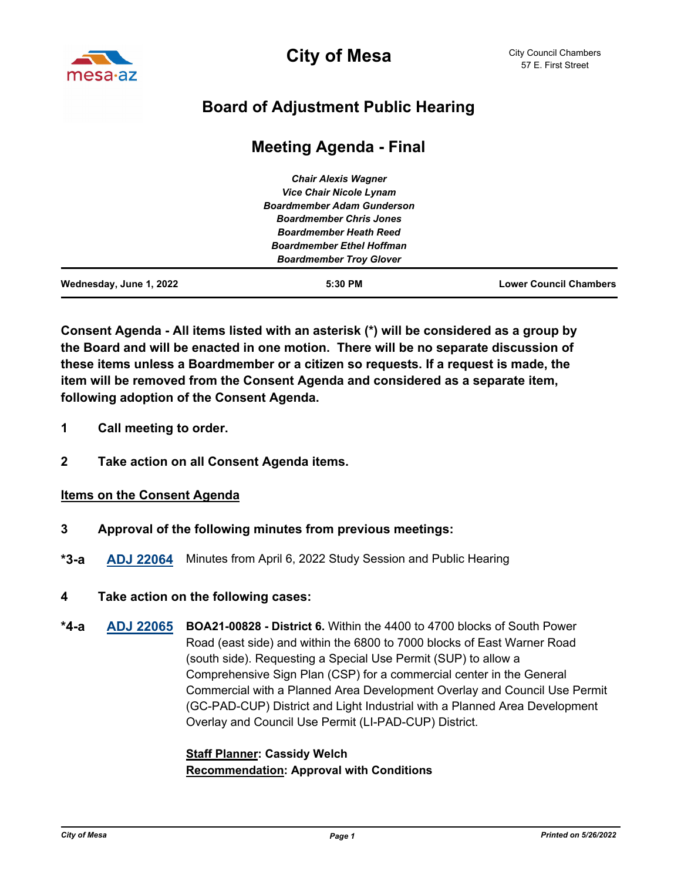

**City of Mesa**

# **Board of Adjustment Public Hearing**

# **Meeting Agenda - Final**

| $5:30$ PM                                                           | <b>Lower Council Chambers</b> |
|---------------------------------------------------------------------|-------------------------------|
| <b>Boardmember Troy Glover</b>                                      |                               |
| <b>Boardmember Ethel Hoffman</b>                                    |                               |
| <b>Boardmember Heath Reed</b>                                       |                               |
| <b>Boardmember Chris Jones</b>                                      |                               |
| <b>Vice Chair Nicole Lynam</b><br><b>Boardmember Adam Gunderson</b> |                               |
|                                                                     |                               |
| <b>Chair Alexis Wagner</b>                                          |                               |
|                                                                     |                               |

**Consent Agenda - All items listed with an asterisk (\*) will be considered as a group by the Board and will be enacted in one motion. There will be no separate discussion of these items unless a Boardmember or a citizen so requests. If a request is made, the item will be removed from the Consent Agenda and considered as a separate item, following adoption of the Consent Agenda.**

- **1 Call meeting to order.**
- **2 Take action on all Consent Agenda items.**

#### **Items on the Consent Agenda**

- **3 Approval of the following minutes from previous meetings:**
- **\*3-a [ADJ 22064](http://mesa.legistar.com/gateway.aspx?m=l&id=/matter.aspx?key=18516)** Minutes from April 6, 2022 Study Session and Public Hearing
- **4 Take action on the following cases:**
- **[ADJ 22065](http://mesa.legistar.com/gateway.aspx?m=l&id=/matter.aspx?key=18517) BOA21-00828 District 6.** Within the 4400 to 4700 blocks of South Power Road (east side) and within the 6800 to 7000 blocks of East Warner Road (south side). Requesting a Special Use Permit (SUP) to allow a Comprehensive Sign Plan (CSP) for a commercial center in the General Commercial with a Planned Area Development Overlay and Council Use Permit (GC-PAD-CUP) District and Light Industrial with a Planned Area Development Overlay and Council Use Permit (LI-PAD-CUP) District. **\*4-a**

## **Staff Planner: Cassidy Welch Recommendation: Approval with Conditions**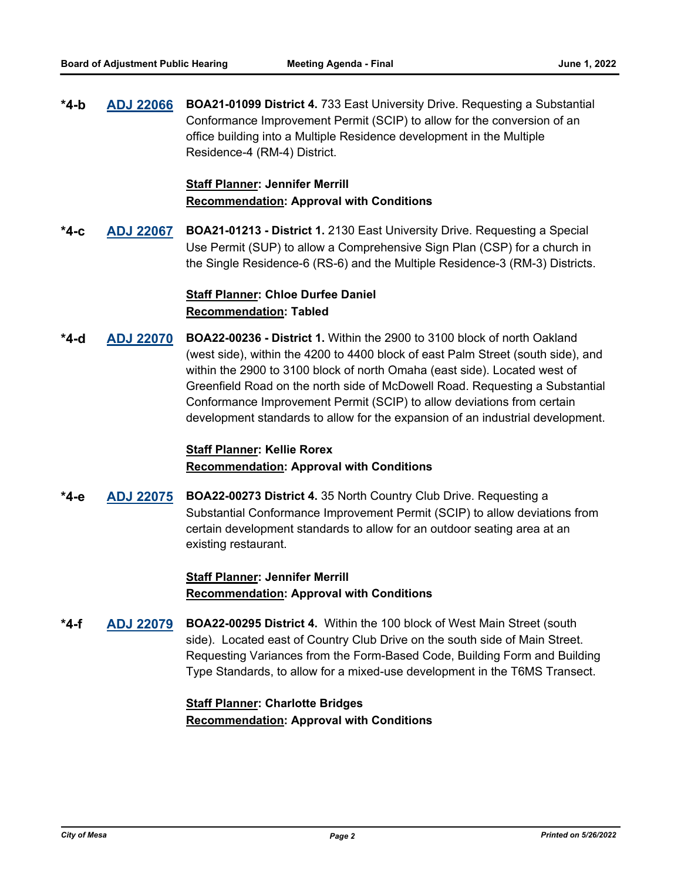**[ADJ 22066](http://mesa.legistar.com/gateway.aspx?m=l&id=/matter.aspx?key=18524) BOA21-01099 District 4.** 733 East University Drive. Requesting a Substantial Conformance Improvement Permit (SCIP) to allow for the conversion of an office building into a Multiple Residence development in the Multiple Residence-4 (RM-4) District. **\*4-b**

## **Staff Planner: Jennifer Merrill Recommendation: Approval with Conditions**

**[ADJ 22067](http://mesa.legistar.com/gateway.aspx?m=l&id=/matter.aspx?key=18525) BOA21-01213 - District 1.** 2130 East University Drive. Requesting a Special Use Permit (SUP) to allow a Comprehensive Sign Plan (CSP) for a church in the Single Residence-6 (RS-6) and the Multiple Residence-3 (RM-3) Districts. **\*4-c**

# **Staff Planner: Chloe Durfee Daniel Recommendation: Tabled**

**[ADJ 22070](http://mesa.legistar.com/gateway.aspx?m=l&id=/matter.aspx?key=18526) BOA22-00236 - District 1.** Within the 2900 to 3100 block of north Oakland (west side), within the 4200 to 4400 block of east Palm Street (south side), and within the 2900 to 3100 block of north Omaha (east side). Located west of Greenfield Road on the north side of McDowell Road. Requesting a Substantial Conformance Improvement Permit (SCIP) to allow deviations from certain development standards to allow for the expansion of an industrial development. **\*4-d**

## **Staff Planner: Kellie Rorex Recommendation: Approval with Conditions**

**[ADJ 22075](http://mesa.legistar.com/gateway.aspx?m=l&id=/matter.aspx?key=18527) BOA22-00273 District 4.** 35 North Country Club Drive. Requesting a Substantial Conformance Improvement Permit (SCIP) to allow deviations from certain development standards to allow for an outdoor seating area at an existing restaurant. **\*4-e**

#### **Staff Planner: Jennifer Merrill Recommendation: Approval with Conditions**

**[ADJ 22079](http://mesa.legistar.com/gateway.aspx?m=l&id=/matter.aspx?key=18528) BOA22-00295 District 4.** Within the 100 block of West Main Street (south side). Located east of Country Club Drive on the south side of Main Street. Requesting Variances from the Form-Based Code, Building Form and Building Type Standards, to allow for a mixed-use development in the T6MS Transect. **\*4-f**

## **Staff Planner: Charlotte Bridges Recommendation: Approval with Conditions**